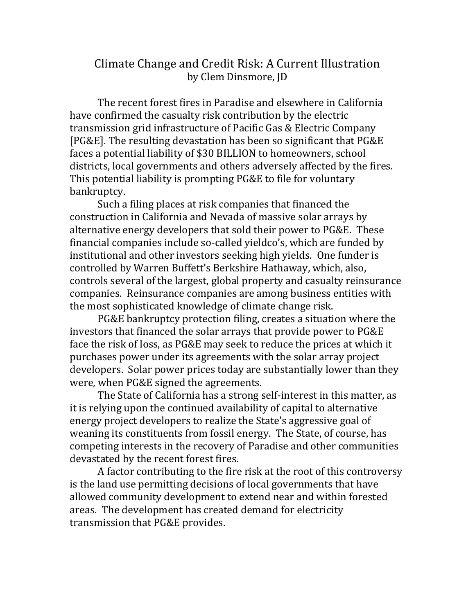## Climate Change and Credit Risk: A Current Illustration by Clem Dinsmore, JD

The recent forest fires in Paradise and elsewhere in California have confirmed the casualty risk contribution by the electric transmission grid infrastructure of Pacific Gas & Electric Company [PG&E]. The resulting devastation has been so significant that PG&E faces a potential liability of \$30 BILLION to homeowners, school districts, local governments and others adversely affected by the fires. This potential liability is prompting PG&E to file for voluntary bankruptcy.

Such a filing places at risk companies that financed the construction in California and Nevada of massive solar arrays by alternative energy developers that sold their power to PG&E. These financial companies include so-called yieldco's, which are funded by institutional and other investors seeking high yields. One funder is controlled by Warren Buffett's Berkshire Hathaway, which, also, controls several of the largest, global property and casualty reinsurance companies. Reinsurance companies are among business entities with the most sophisticated knowledge of climate change risk.

PG&E bankruptcy protection filing, creates a situation where the investors that financed the solar arrays that provide power to PG&E face the risk of loss, as PG&E may seek to reduce the prices at which it purchases power under its agreements with the solar array project developers. Solar power prices today are substantially lower than they were, when PG&E signed the agreements.

The State of California has a strong self-interest in this matter, as it is relying upon the continued availability of capital to alternative energy project developers to realize the State's aggressive goal of weaning its constituents from fossil energy. The State, of course, has competing interests in the recovery of Paradise and other communities devastated by the recent forest fires.

A factor contributing to the fire risk at the root of this controversy is the land use permitting decisions of local governments that have allowed community development to extend near and within forested areas. The development has created demand for electricity transmission that PG&E provides.